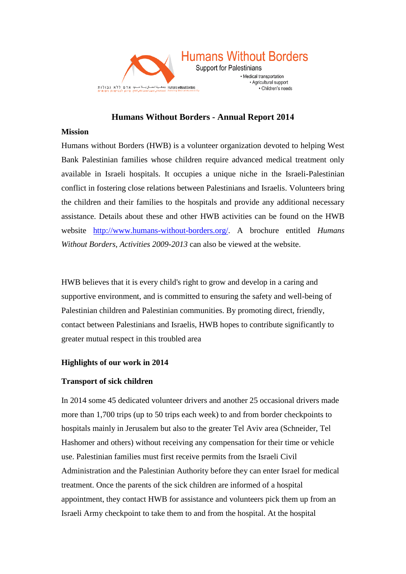

# **Humans Without Borders - Annual Report 2014**

#### **Mission**

Humans without Borders (HWB) is a volunteer organization devoted to helping West Bank Palestinian families whose children require advanced medical treatment only available in Israeli hospitals. It occupies a unique niche in the Israeli-Palestinian conflict in fostering close relations between Palestinians and Israelis. Volunteers bring the children and their families to the hospitals and provide any additional necessary assistance. Details about these and other HWB activities can be found on the HWB website [http://www.humans-without-borders.org/.](http://www.humans-without-borders.org/) A brochure entitled *Humans Without Borders, Activities 2009-2013* can also be viewed at the website.

HWB believes that it is every child's right to grow and develop in a caring and supportive environment, and is committed to ensuring the safety and well-being of Palestinian children and Palestinian communities. By promoting direct, friendly, contact between Palestinians and Israelis, HWB hopes to contribute significantly to greater mutual respect in this troubled area

### **Highlights of our work in 2014**

### **Transport of sick children**

In 2014 some 45 dedicated volunteer drivers and another 25 occasional drivers made more than 1,700 trips (up to 50 trips each week) to and from border checkpoints to hospitals mainly in Jerusalem but also to the greater Tel Aviv area (Schneider, Tel Hashomer and others) without receiving any compensation for their time or vehicle use. Palestinian families must first receive permits from the Israeli Civil Administration and the Palestinian Authority before they can enter Israel for medical treatment. Once the parents of the sick children are informed of a hospital appointment, they contact HWB for assistance and volunteers pick them up from an Israeli Army checkpoint to take them to and from the hospital. At the hospital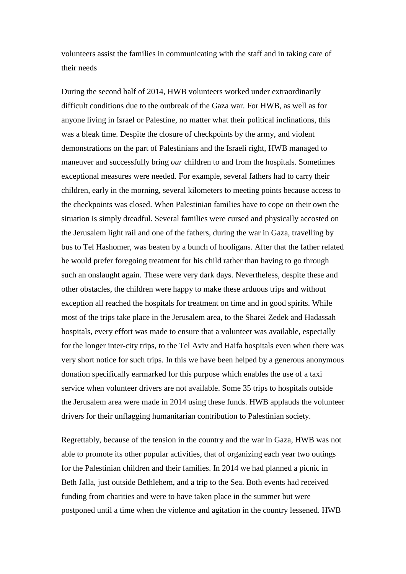volunteers assist the families in communicating with the staff and in taking care of their needs

During the second half of 2014, HWB volunteers worked under extraordinarily difficult conditions due to the outbreak of the Gaza war. For HWB, as well as for anyone living in Israel or Palestine, no matter what their political inclinations, this was a bleak time. Despite the closure of checkpoints by the army, and violent demonstrations on the part of Palestinians and the Israeli right, HWB managed to maneuver and successfully bring *our* children to and from the hospitals. Sometimes exceptional measures were needed. For example, several fathers had to carry their children, early in the morning, several kilometers to meeting points because access to the checkpoints was closed. When Palestinian families have to cope on their own the situation is simply dreadful. Several families were cursed and physically accosted on the Jerusalem light rail and one of the fathers, during the war in Gaza, travelling by bus to Tel Hashomer, was beaten by a bunch of hooligans. After that the father related he would prefer foregoing treatment for his child rather than having to go through such an onslaught again. These were very dark days. Nevertheless, despite these and other obstacles, the children were happy to make these arduous trips and without exception all reached the hospitals for treatment on time and in good spirits. While most of the trips take place in the Jerusalem area, to the Sharei Zedek and Hadassah hospitals, every effort was made to ensure that a volunteer was available, especially for the longer inter-city trips, to the Tel Aviv and Haifa hospitals even when there was very short notice for such trips. In this we have been helped by a generous anonymous donation specifically earmarked for this purpose which enables the use of a taxi service when volunteer drivers are not available. Some 35 trips to hospitals outside the Jerusalem area were made in 2014 using these funds. HWB applauds the volunteer drivers for their unflagging humanitarian contribution to Palestinian society.

Regrettably, because of the tension in the country and the war in Gaza, HWB was not able to promote its other popular activities, that of organizing each year two outings for the Palestinian children and their families. In 2014 we had planned a picnic in Beth Jalla, just outside Bethlehem, and a trip to the Sea. Both events had received funding from charities and were to have taken place in the summer but were postponed until a time when the violence and agitation in the country lessened. HWB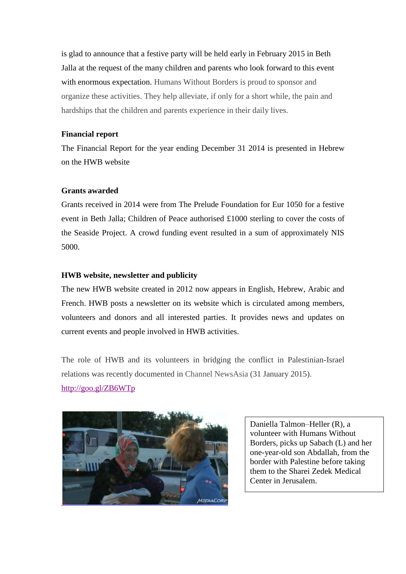is glad to announce that a festive party will be held early in February 2015 in Beth Jalla at the request of the many children and parents who look forward to this event with enormous expectation. Humans Without Borders is proud to sponsor and organize these activities. They help alleviate, if only for a short while, the pain and hardships that the children and parents experience in their daily lives.

### **Financial report**

The Financial Report for the year ending December 31 2014 is presented in Hebrew on the HWB website

# **Grants awarded**

Grants received in 2014 were from The Prelude Foundation for Eur 1050 for a festive event in Beth Jalla; Children of Peace authorised £1000 sterling to cover the costs of the Seaside Project. A crowd funding event resulted in a sum of approximately NIS 5000.

# **HWB website, newsletter and publicity**

The new HWB website created in 2012 now appears in English, Hebrew, Arabic and French. HWB posts a newsletter on its website which is circulated among members, volunteers and donors and all interested parties. It provides news and updates on current events and people involved in HWB activities.

The role of HWB and its volunteers in bridging the conflict in Palestinian-Israel relations was recently documented in Channel NewsAsia (31 January 2015). <http://goo.gl/ZB6WTp>



Daniella Talmon–Heller (R), a volunteer with Humans Without Borders, picks up Sabach (L) and her one-year-old son Abdallah, from the border with Palestine before taking them to the Sharei Zedek Medical Center in Jerusalem.